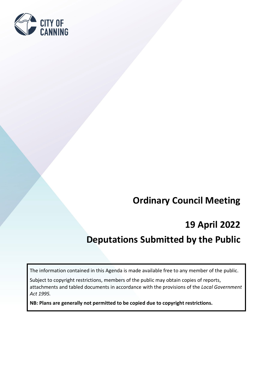

# **Ordinary Council Meeting**

# **19 April 2022**

# **Deputations Submitted by the Public**

The information contained in this Agenda is made available free to any member of the public.

Subject to copyright restrictions, members of the public may obtain copies of reports, attachments and tabled documents in accordance with the provisions of the *Local Government Act 1995.* 

**NB: Plans are generally not permitted to be copied due to copyright restrictions.**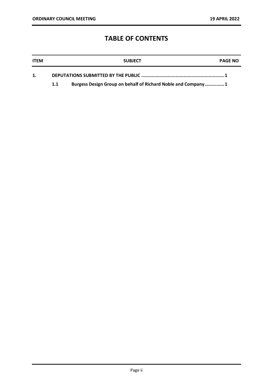## **TABLE OF CONTENTS**

| <b>ITEM</b> |     | <b>SUBJECT</b>                                               | <b>PAGE NO</b> |
|-------------|-----|--------------------------------------------------------------|----------------|
|             |     |                                                              |                |
|             | 1.1 | Burgess Design Group on behalf of Richard Noble and Company1 |                |

Page ii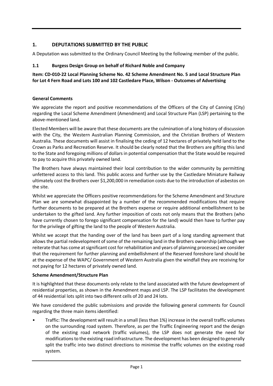### <span id="page-2-0"></span>**1. DEPUTATIONS SUBMITTED BY THE PUBLIC**

<span id="page-2-1"></span>A Deputation was submitted to the Ordinary Council Meeting by the following member of the public.

### **1.1 Burgess Design Group on behalf of Richard Noble and Company**

**Item: CD-010-22 Local Planning Scheme No. 42 Scheme Amendment No. 5 and Local Structure Plan for Lot 4 Fern Road and Lots 100 and 102 Castledare Place, Wilson - Outcomes of Advertising**

### **General Comments**

We appreciate the report and positive recommendations of the Officers of the City of Canning (City) regarding the Local Scheme Amendment (Amendment) and Local Structure Plan (LSP) pertaining to the above-mentioned land.

Elected Members will be aware that these documents are the culmination of a long history of discussion with the City, the Western Australian Planning Commission, and the Christian Brothers of Western Australia. These documents will assist in finalising the ceding of 12 hectares of privately held land to the Crown as Parks and Recreation Reserve. It should be clearly noted that the Brothers are gifting this land to the State and foregoing millions of dollars in potential compensation that the State would be required to pay to acquire this privately owned land.

The Brothers have always maintained their local contribution to the wider community by permitting unfettered access to this land. This public access and further use by the Castledare Miniature Railway ultimately cost the Brothers over \$1,200,000 in remediation costs due to the introduction of asbestos on the site.

Whilst we appreciate the Officers positive recommendations for the Scheme Amendment and Structure Plan we are somewhat disappointed by a number of the recommended modifications that require further documents to be prepared at the Brothers expense or require additional embellishment to be undertaken to the gifted land. Any further imposition of costs not only means that the Brothers (who have currently chosen to forego significant compensation for the land) would then have to further pay for the privilege of gifting the land to the people of Western Australia.

Whilst we accept that the handing over of the land has been part of a long standing agreement that allows the partial redevelopment of some of the remaining land in the Brothers ownership (although we reiterate that has come at significant cost for rehabilitation and years of planning processes) we consider that the requirement for further planning and embellishment of the Reserved foreshore land should be at the expense of the WAPC/ Government of Western Australia given the windfall they are receiving for not paying for 12 hectares of privately owned land.

### **Scheme Amendment/Structure Plan**

It is highlighted that these documents only relate to the land associated with the future development of residential properties, as shown in the Amendment maps and LSP. The LSP facilitates the development of 44 residential lots split into two different cells of 20 and 24 lots.

We have considered the public submissions and provide the following general comments for Council regarding the three main items identified:

• Traffic: The development will result in a small (less than 1%) increase in the overall traffic volumes on the surrounding road system. Therefore, as per the Traffic Engineering report and the design of the existing road network (traffic volumes), the LSP does not generate the need for modifications to the existing road infrastructure. The development has been designed to generally split the traffic into two distinct directions to minimise the traffic volumes on the existing road system.